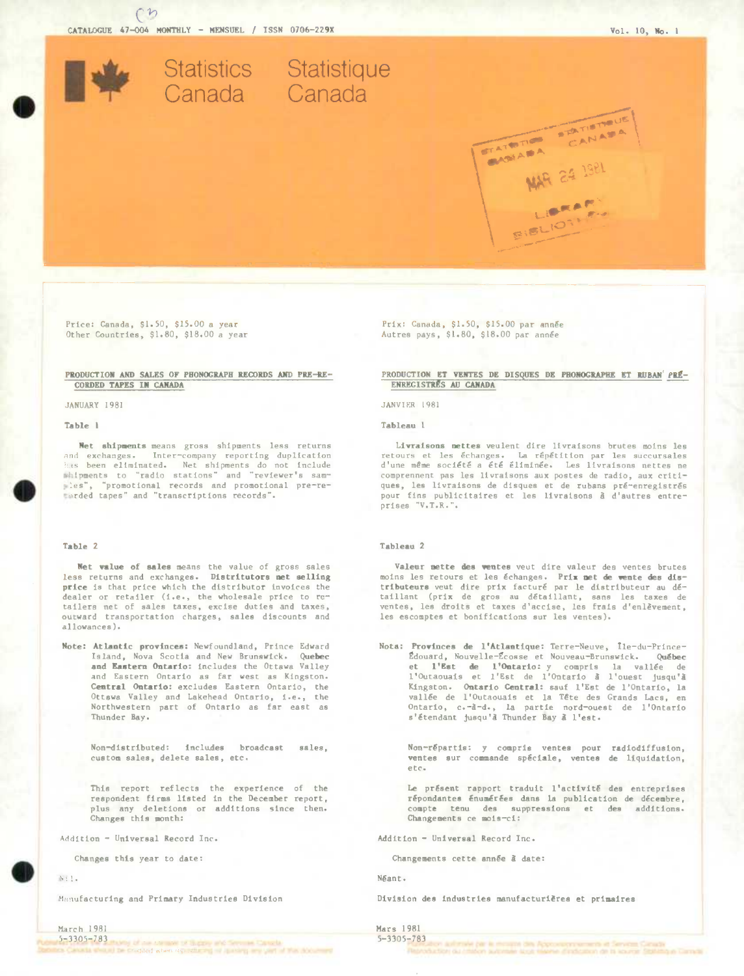CATALOGUE 47-004 MONTHLY - MENSUEL / ISSN 0706-229X

Statistics Statistique Canada Canada

 $\Omega$ 

Price: Canada, \$1.50, \$15.00 a year Other Countries, \$1.80, \$18.00 a year

# PRODUCTION AND SALES OF PHONOGRAPH RECORDS AND PRE-RE-**CORDED TAPES IN CANADA**

JANUARY 1981

Table 1

Net shipments means gross shipments less returns and exchanges. Inter-company reporting duplication has been eliminated. Net shipments do not include<br>shipments to "radio stations" and "reviewer's samles", "promotional records and promotional pre-reearded tapes" and "transcriptions records".

### Table 2

Net value of sales means the value of gross sales less returns and exchanges. Distritutors met selling price is that price which the distributor invoices the dealer or retailer (i.e., the wholesale price to retailers net of sales taxes, excise duties and taxes, outward transportation charges, sales discounts and allowances).

Note: Atlantic provinces: Newfoundland, Prince Edward Island, Nova Scotia and New Brunswick. Quebec and Eastern Ontario: includes the Ottawa Valley and Eastern Ontario as far west as Kingston. Central Ontario: excludes Eastern Ontario, the Ottswa Valley and Lakehead Ontario, i.e., the Northwestern part of Ontario as far east as Thunder Bay.

> Non-distributed: includes broadcast sales, custom sales, delete sales, etc.

> This report reflects the experience of the respondent firms listed in the December report, plus any deletions or additions since then. Changes this month:

Addition - Universal Record Inc.

Changes this year to date:

 $N(1)$ 

Manufacturing and Primary Industries Division

| March 1981       |                                                                                  |  |  |
|------------------|----------------------------------------------------------------------------------|--|--|
| $5 - 3305 - 783$ | critics of the Couple of Supply of Couple in Calledge                            |  |  |
|                  | the Canada who all the Checkled when regarding and participate and of the docum- |  |  |

Prix: Canada, \$1.50, \$15.00 par année Autres pays, \$1.80, \$18.00 par année

PRODUCTION ET VENTES DE DISQUES DE PHONOGRAPHE ET RUBAN' PRÉ-ENREGISTRES AU CANADA

STATUTION STATISTICK

**NAR 24 1981** 

LIBRAR

**FIBLIOT** 

# JANVIER 1981

Tableau 1

Livraisons nettes veulent dire livraisons brutes moins les retours et les échanges. La répétition par les succursales<br>d'une même société a été éliminée. Les livraisons nettes ne comprennent pas les livraisons aux postes de radio, aux critiques, les livraisons de disques et de rubans pré-enregistrés pour fins publicitaires et les livraisons à d'autres entreprises "V.T.R.".

### Tableau 2

Valeur mette des ventes veut dire valeur des ventes brutes moins les retours et les échanges. Prix met de vente des distributeurs veut dire prix facturé par le distributeur au détaillant (prix de gros au détaillant, sans les taxes de ventes, les droits et taxes d'accise, les frais d'enlèvement, les escomptes et bonifications sur les ventes).

Nota: Provinces de l'Atlantique: Terre-Neuve, Île-du-Prince-Édouard, Nouvelle-Écosse et Nouveau-Brunswick. Québec et l'Est de l'Ontario: y compris la vallée de l'Outaouais et l'Est de l'Ontario à l'ouest jusqu'à Kingston. Ontario Central: sauf l'Est de l'Ontario, la vallée de l'Outaouais et la Tête des Grands Lacs, en Ontario, c.-à-d., la partie nord-ouest de l'Ontario s'étendant jusqu'à Thunder Bay à l'est.

Non-répartis: y compris ventes pour radiodiffusion, ventes sur commande spéciale, ventes de liquidation,  $etc.$ 

Le présent rapport traduit l'activité des entreprises répondantes énumérées dans la publication de décembre, compte tenu des suppressions et des additions.<br>Changements ce mois-ci:

Addition - Universal Record Inc.

Changements cette année à date:

Néant.

Division des industries manufacturières et primaires

### Mars 1981  $5 - 3305 - 783$

don animale par la mosque des Agossourin universitate Senate. Catada.<br>Notare du resona automan quoi sagere d'infostrio de la lourne Statistique D